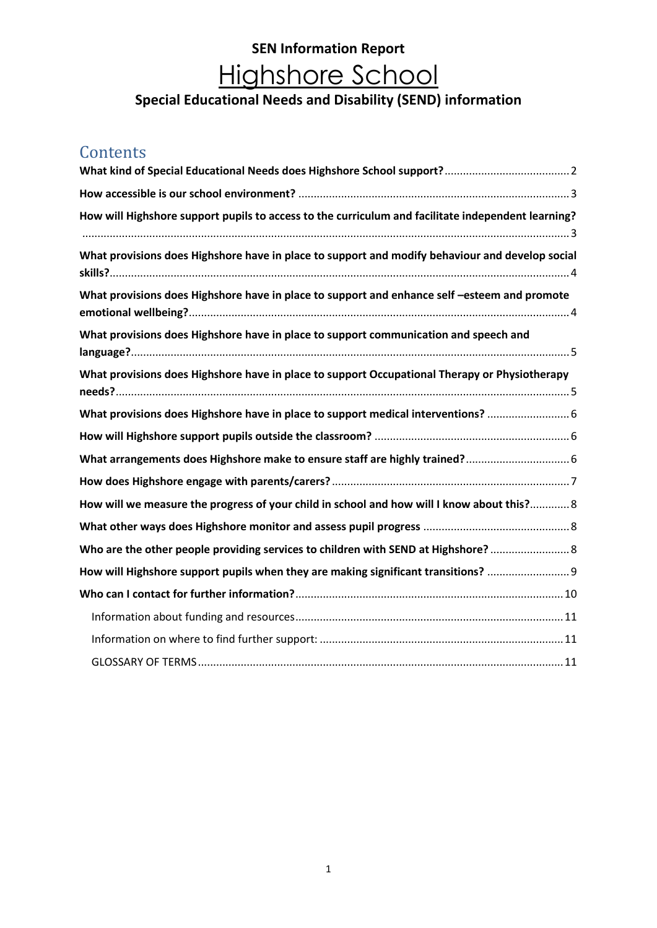#### **Special Educational Needs and Disability (SEND) information**

### **Contents**

| How will Highshore support pupils to access to the curriculum and facilitate independent learning? |  |
|----------------------------------------------------------------------------------------------------|--|
| What provisions does Highshore have in place to support and modify behaviour and develop social    |  |
| What provisions does Highshore have in place to support and enhance self-esteem and promote        |  |
| What provisions does Highshore have in place to support communication and speech and               |  |
| What provisions does Highshore have in place to support Occupational Therapy or Physiotherapy      |  |
| What provisions does Highshore have in place to support medical interventions?  6                  |  |
|                                                                                                    |  |
| What arrangements does Highshore make to ensure staff are highly trained? 6                        |  |
|                                                                                                    |  |
| How will we measure the progress of your child in school and how will I know about this? 8         |  |
|                                                                                                    |  |
| Who are the other people providing services to children with SEND at Highshore?                    |  |
| How will Highshore support pupils when they are making significant transitions?                    |  |
|                                                                                                    |  |
|                                                                                                    |  |
|                                                                                                    |  |
|                                                                                                    |  |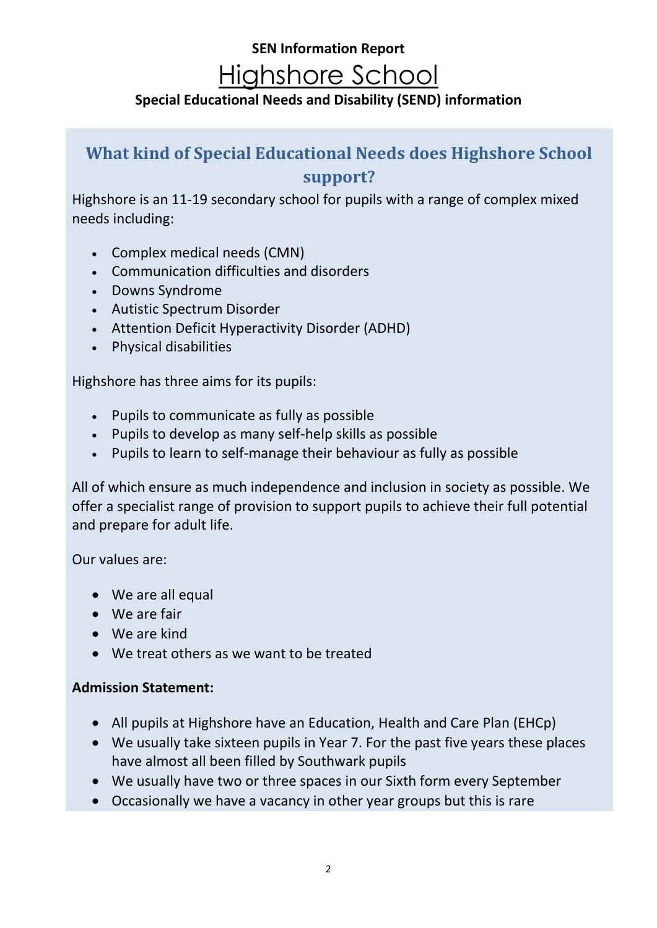#### **SEN Information Report**

# Highshore School

### **Special Educational Needs and Disability (SEND) information**

## <span id="page-1-0"></span>**What kind of Special Educational Needs does Highshore School support?**

Highshore is an 11-19 secondary school for pupils with a range of complex mixed needs including:

- Complex medical needs (CMN)
- Communication difficulties and disorders
- Downs Syndrome
- Autistic Spectrum Disorder
- Attention Deficit Hyperactivity Disorder (ADHD)
- Physical disabilities

Highshore has three aims for its pupils:

- Pupils to communicate as fully as possible
- Pupils to develop as many self-help skills as possible
- Pupils to learn to self-manage their behaviour as fully as possible

All of which ensure as much independence and inclusion in society as possible. We offer a specialist range of provision to support pupils to achieve their full potential and prepare for adult life.

#### Our values are:

- We are all equal
- We are fair
- We are kind
- We treat others as we want to be treated

#### **Admission Statement:**

- All pupils at Highshore have an Education, Health and Care Plan (EHCp)
- We usually take sixteen pupils in Year 7. For the past five years these places have almost all been filled by Southwark pupils
- We usually have two or three spaces in our Sixth form every September
- Occasionally we have a vacancy in other year groups but this is rare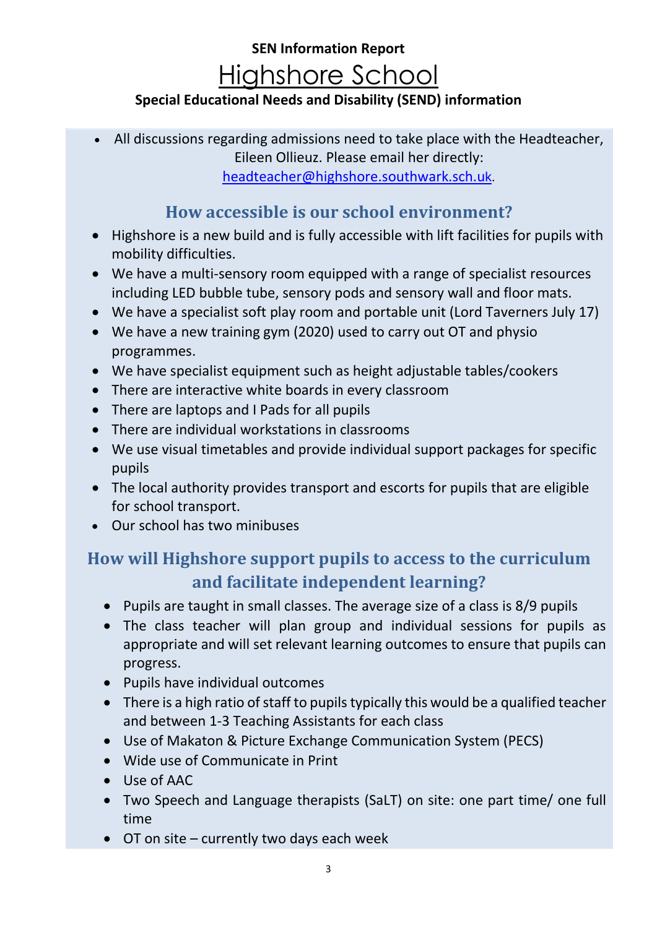### **Special Educational Needs and Disability (SEND) information**

• All discussions regarding admissions need to take place with the Headteacher, Eileen Ollieuz. Please email her directly: [headteacher@highshore.southwark.sch.u](mailto:headteacher@highshore.southwark.sch.uk)k.

### **How accessible is our school environment?**

- <span id="page-2-0"></span>• Highshore is a new build and is fully accessible with lift facilities for pupils with mobility difficulties.
- We have a multi-sensory room equipped with a range of specialist resources including LED bubble tube, sensory pods and sensory wall and floor mats.
- We have a specialist soft play room and portable unit (Lord Taverners July 17)
- We have a new training gym (2020) used to carry out OT and physio programmes.
- We have specialist equipment such as height adjustable tables/cookers
- There are interactive white boards in every classroom
- There are laptops and I Pads for all pupils
- There are individual workstations in classrooms
- We use visual timetables and provide individual support packages for specific pupils
- The local authority provides transport and escorts for pupils that are eligible for school transport.
- Our school has two minibuses

## <span id="page-2-1"></span>**How will Highshore support pupils to access to the curriculum and facilitate independent learning?**

- Pupils are taught in small classes. The average size of a class is 8/9 pupils
- The class teacher will plan group and individual sessions for pupils as appropriate and will set relevant learning outcomes to ensure that pupils can progress.
- Pupils have individual outcomes
- There is a high ratio of staff to pupils typically this would be a qualified teacher and between 1-3 Teaching Assistants for each class
- Use of Makaton & Picture Exchange Communication System (PECS)
- Wide use of Communicate in Print
- Use of AAC
- Two Speech and Language therapists (SaLT) on site: one part time/ one full time
- OT on site currently two days each week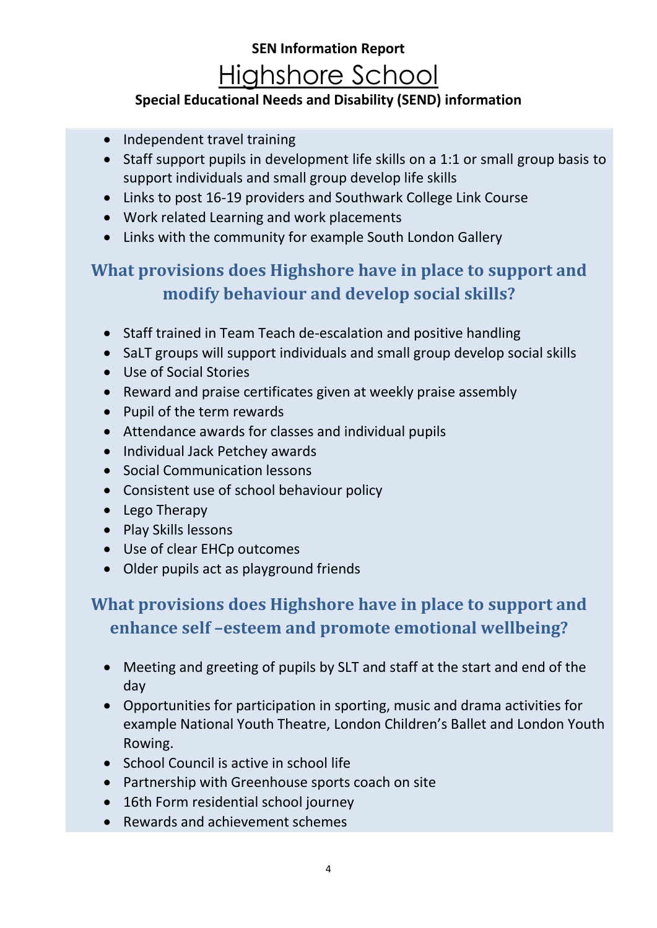### **Special Educational Needs and Disability (SEND) information**

- Independent travel training
- Staff support pupils in development life skills on a 1:1 or small group basis to support individuals and small group develop life skills
- Links to post 16-19 providers and Southwark College Link Course
- Work related Learning and work placements
- Links with the community for example South London Gallery

## <span id="page-3-0"></span>**What provisions does Highshore have in place to support and modify behaviour and develop social skills?**

- Staff trained in Team Teach de-escalation and positive handling
- SaLT groups will support individuals and small group develop social skills
- Use of Social Stories
- Reward and praise certificates given at weekly praise assembly
- Pupil of the term rewards
- Attendance awards for classes and individual pupils
- Individual Jack Petchey awards
- Social Communication lessons
- Consistent use of school behaviour policy
- Lego Therapy
- Play Skills lessons
- Use of clear EHCp outcomes
- Older pupils act as playground friends

## <span id="page-3-1"></span>**What provisions does Highshore have in place to support and enhance self –esteem and promote emotional wellbeing?**

- Meeting and greeting of pupils by SLT and staff at the start and end of the day
- Opportunities for participation in sporting, music and drama activities for example National Youth Theatre, London Children's Ballet and London Youth Rowing.
- School Council is active in school life
- Partnership with Greenhouse sports coach on site
- 16th Form residential school journey
- Rewards and achievement schemes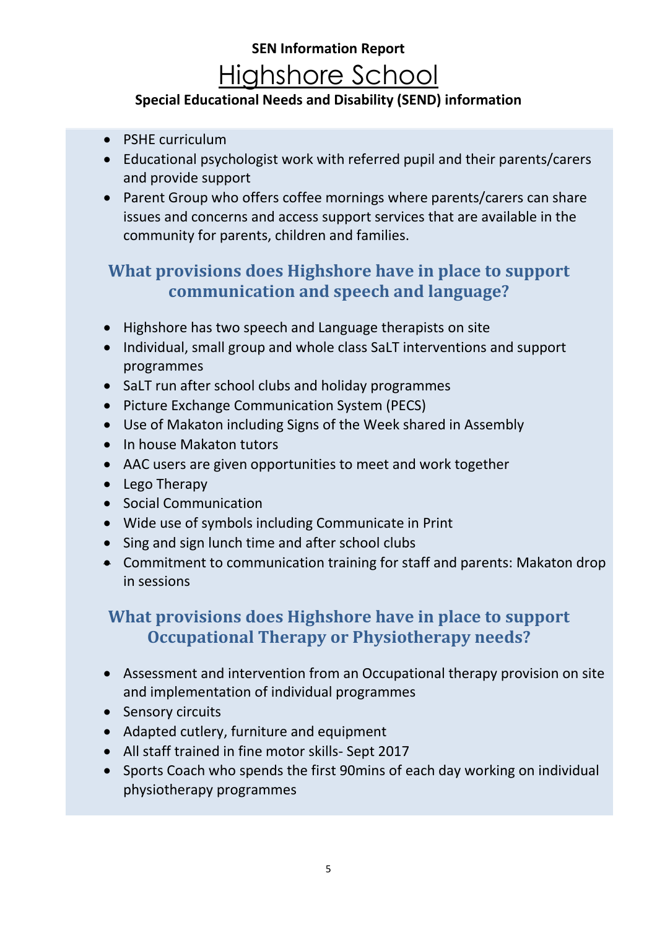### **Special Educational Needs and Disability (SEND) information**

- PSHE curriculum
- Educational psychologist work with referred pupil and their parents/carers and provide support
- Parent Group who offers coffee mornings where parents/carers can share issues and concerns and access support services that are available in the community for parents, children and families.

## <span id="page-4-0"></span>**What provisions does Highshore have in place to support communication and speech and language?**

- Highshore has two speech and Language therapists on site
- Individual, small group and whole class SaLT interventions and support programmes
- SaLT run after school clubs and holiday programmes
- Picture Exchange Communication System (PECS)
- Use of Makaton including Signs of the Week shared in Assembly
- In house Makaton tutors
- AAC users are given opportunities to meet and work together
- Lego Therapy
- Social Communication
- Wide use of symbols including Communicate in Print
- Sing and sign lunch time and after school clubs
- Commitment to communication training for staff and parents: Makaton drop in sessions

### <span id="page-4-1"></span>**What provisions does Highshore have in place to support Occupational Therapy or Physiotherapy needs?**

- Assessment and intervention from an Occupational therapy provision on site and implementation of individual programmes
- Sensory circuits
- Adapted cutlery, furniture and equipment
- All staff trained in fine motor skills- Sept 2017
- Sports Coach who spends the first 90mins of each day working on individual physiotherapy programmes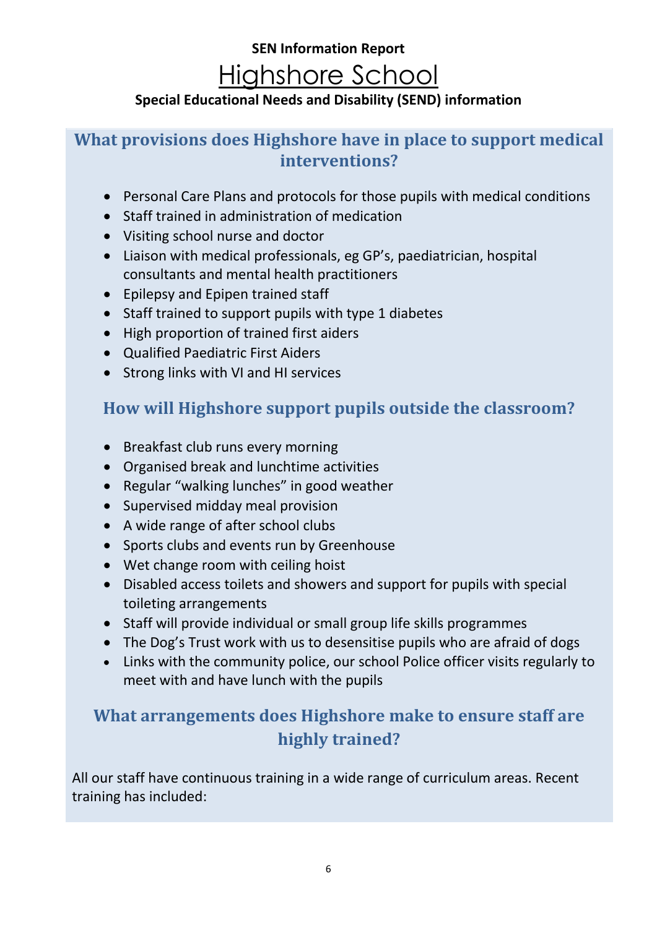### **Special Educational Needs and Disability (SEND) information**

### <span id="page-5-0"></span>**What provisions does Highshore have in place to support medical interventions?**

- Personal Care Plans and protocols for those pupils with medical conditions
- Staff trained in administration of medication
- Visiting school nurse and doctor
- Liaison with medical professionals, eg GP's, paediatrician, hospital consultants and mental health practitioners
- Epilepsy and Epipen trained staff
- Staff trained to support pupils with type 1 diabetes
- High proportion of trained first aiders
- Qualified Paediatric First Aiders
- Strong links with VI and HI services

## <span id="page-5-1"></span>**How will Highshore support pupils outside the classroom?**

- Breakfast club runs every morning
- Organised break and lunchtime activities
- Regular "walking lunches" in good weather
- Supervised midday meal provision
- A wide range of after school clubs
- Sports clubs and events run by Greenhouse
- Wet change room with ceiling hoist
- Disabled access toilets and showers and support for pupils with special toileting arrangements
- Staff will provide individual or small group life skills programmes
- The Dog's Trust work with us to desensitise pupils who are afraid of dogs
- Links with the community police, our school Police officer visits regularly to meet with and have lunch with the pupils

## <span id="page-5-2"></span>**What arrangements does Highshore make to ensure staff are highly trained?**

All our staff have continuous training in a wide range of curriculum areas. Recent training has included: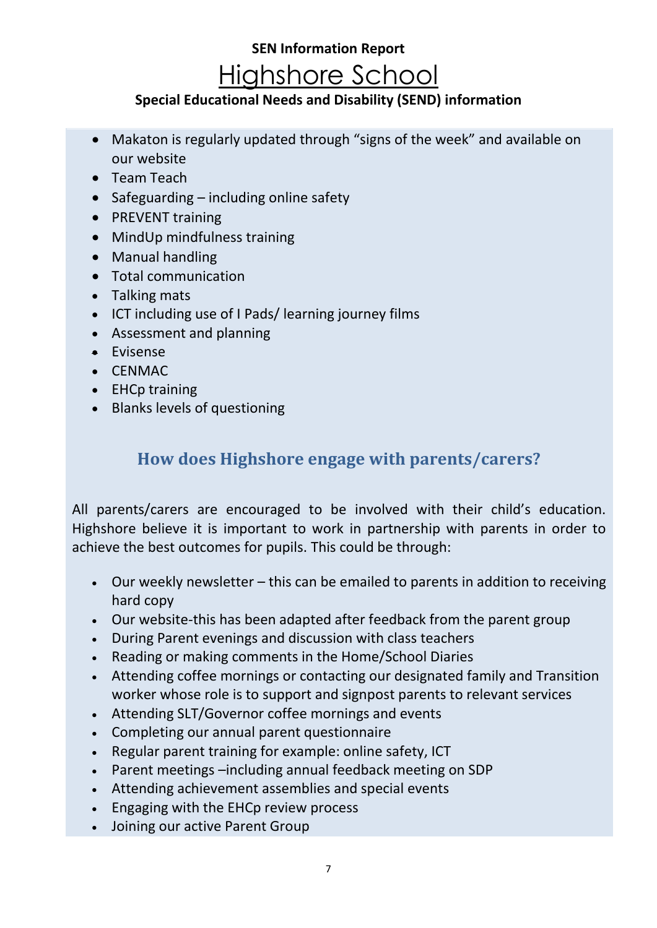#### **Special Educational Needs and Disability (SEND) information**

- Makaton is regularly updated through "signs of the week" and available on our website
- Team Teach
- Safeguarding including online safety
- PREVENT training
- MindUp mindfulness training
- Manual handling
- Total communication
- Talking mats
- ICT including use of I Pads/ learning journey films
- Assessment and planning
- Evisense
- CENMAC
- EHCp training
- <span id="page-6-0"></span>• Blanks levels of questioning

## **How does Highshore engage with parents/carers?**

All parents/carers are encouraged to be involved with their child's education. Highshore believe it is important to work in partnership with parents in order to achieve the best outcomes for pupils. This could be through:

- Our weekly newsletter this can be emailed to parents in addition to receiving hard copy
- Our website-this has been adapted after feedback from the parent group
- During Parent evenings and discussion with class teachers
- Reading or making comments in the Home/School Diaries
- Attending coffee mornings or contacting our designated family and Transition worker whose role is to support and signpost parents to relevant services
- Attending SLT/Governor coffee mornings and events
- Completing our annual parent questionnaire
- Regular parent training for example: online safety, ICT
- Parent meetings –including annual feedback meeting on SDP
- Attending achievement assemblies and special events
- Engaging with the EHCp review process
- Joining our active Parent Group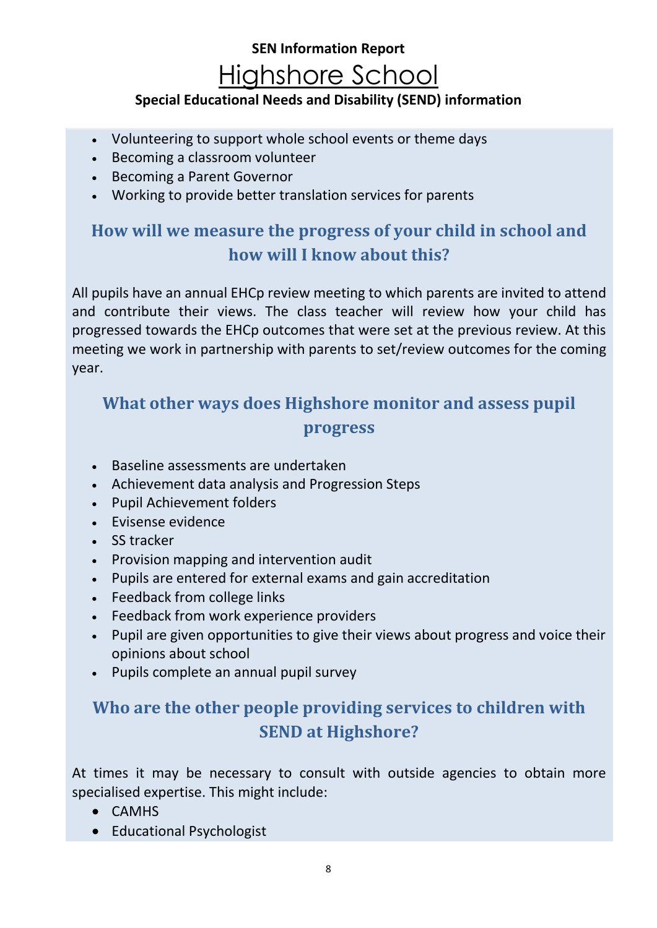### **Special Educational Needs and Disability (SEND) information**

- Volunteering to support whole school events or theme days
- Becoming a classroom volunteer
- Becoming a Parent Governor
- Working to provide better translation services for parents

## <span id="page-7-0"></span>**How will we measure the progress of your child in school and how will I know about this?**

All pupils have an annual EHCp review meeting to which parents are invited to attend and contribute their views. The class teacher will review how your child has progressed towards the EHCp outcomes that were set at the previous review. At this meeting we work in partnership with parents to set/review outcomes for the coming year.

## <span id="page-7-1"></span>**What other ways does Highshore monitor and assess pupil progress**

- Baseline assessments are undertaken
- Achievement data analysis and Progression Steps
- Pupil Achievement folders
- Evisense evidence
- SS tracker
- Provision mapping and intervention audit
- Pupils are entered for external exams and gain accreditation
- Feedback from college links
- Feedback from work experience providers
- Pupil are given opportunities to give their views about progress and voice their opinions about school
- Pupils complete an annual pupil survey

## <span id="page-7-2"></span>**Who are the other people providing services to children with SEND at Highshore?**

At times it may be necessary to consult with outside agencies to obtain more specialised expertise. This might include:

- CAMHS
- Educational Psychologist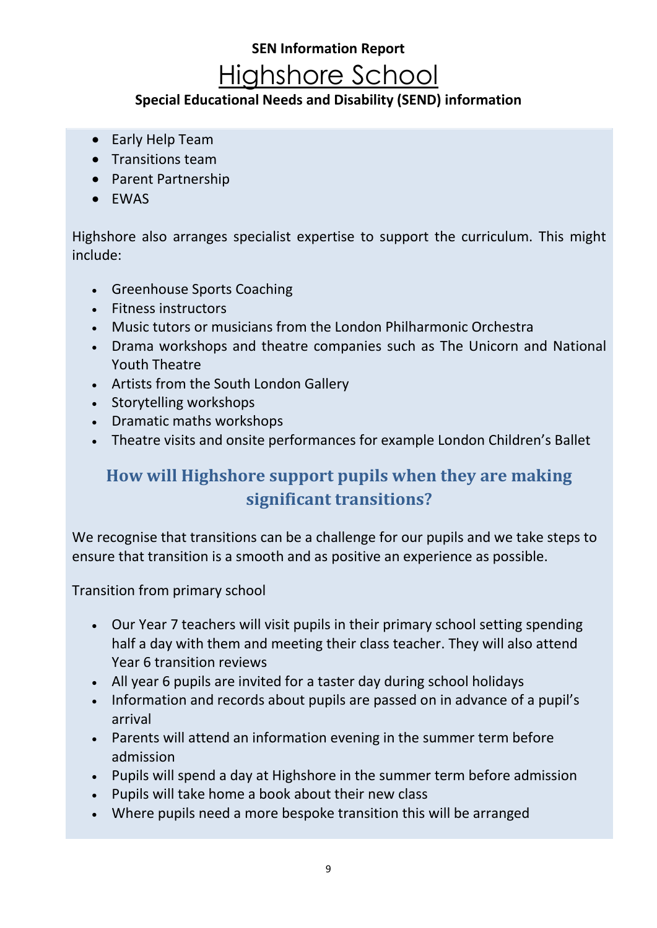#### **Special Educational Needs and Disability (SEND) information**

- Early Help Team
- Transitions team
- Parent Partnership
- EWAS

Highshore also arranges specialist expertise to support the curriculum. This might include:

- Greenhouse Sports Coaching
- Fitness instructors
- Music tutors or musicians from the London Philharmonic Orchestra
- Drama workshops and theatre companies such as The Unicorn and National Youth Theatre
- Artists from the South London Gallery
- Storytelling workshops
- Dramatic maths workshops
- Theatre visits and onsite performances for example London Children's Ballet

## <span id="page-8-0"></span>**How will Highshore support pupils when they are making significant transitions?**

We recognise that transitions can be a challenge for our pupils and we take steps to ensure that transition is a smooth and as positive an experience as possible.

Transition from primary school

- Our Year 7 teachers will visit pupils in their primary school setting spending half a day with them and meeting their class teacher. They will also attend Year 6 transition reviews
- All year 6 pupils are invited for a taster day during school holidays
- Information and records about pupils are passed on in advance of a pupil's arrival
- Parents will attend an information evening in the summer term before admission
- Pupils will spend a day at Highshore in the summer term before admission
- Pupils will take home a book about their new class
- Where pupils need a more bespoke transition this will be arranged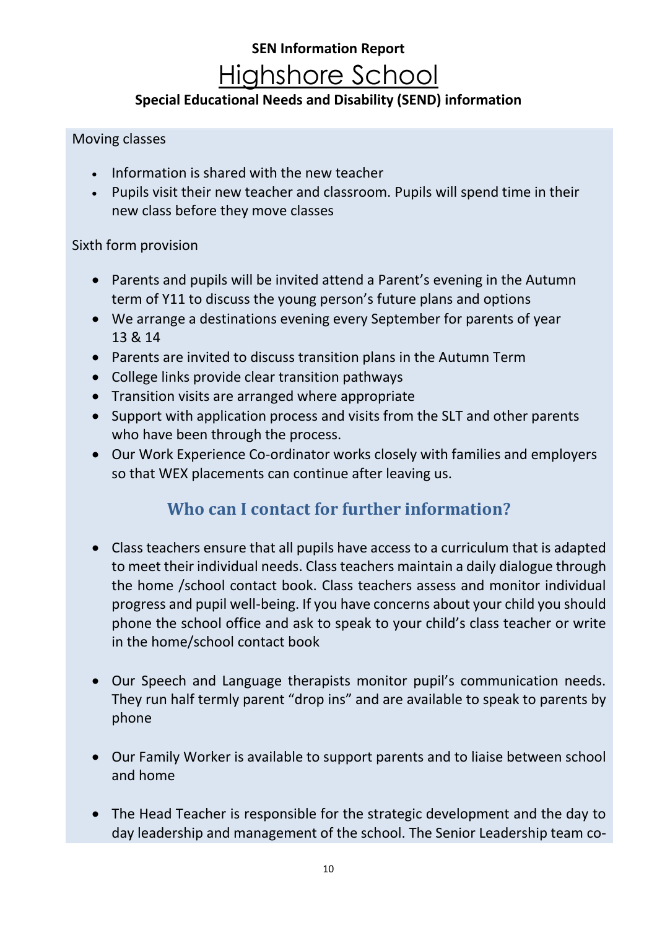### **Special Educational Needs and Disability (SEND) information**

#### Moving classes

- Information is shared with the new teacher
- Pupils visit their new teacher and classroom. Pupils will spend time in their new class before they move classes

#### Sixth form provision

- Parents and pupils will be invited attend a Parent's evening in the Autumn term of Y11 to discuss the young person's future plans and options
- We arrange a destinations evening every September for parents of year 13 & 14
- Parents are invited to discuss transition plans in the Autumn Term
- College links provide clear transition pathways
- Transition visits are arranged where appropriate
- Support with application process and visits from the SLT and other parents who have been through the process.
- Our Work Experience Co-ordinator works closely with families and employers so that WEX placements can continue after leaving us.

### **Who can I contact for further information?**

- <span id="page-9-0"></span>• Class teachers ensure that all pupils have access to a curriculum that is adapted to meet their individual needs. Class teachers maintain a daily dialogue through the home /school contact book. Class teachers assess and monitor individual progress and pupil well-being. If you have concerns about your child you should phone the school office and ask to speak to your child's class teacher or write in the home/school contact book
- Our Speech and Language therapists monitor pupil's communication needs. They run half termly parent "drop ins" and are available to speak to parents by phone
- Our Family Worker is available to support parents and to liaise between school and home
- The Head Teacher is responsible for the strategic development and the day to day leadership and management of the school. The Senior Leadership team co-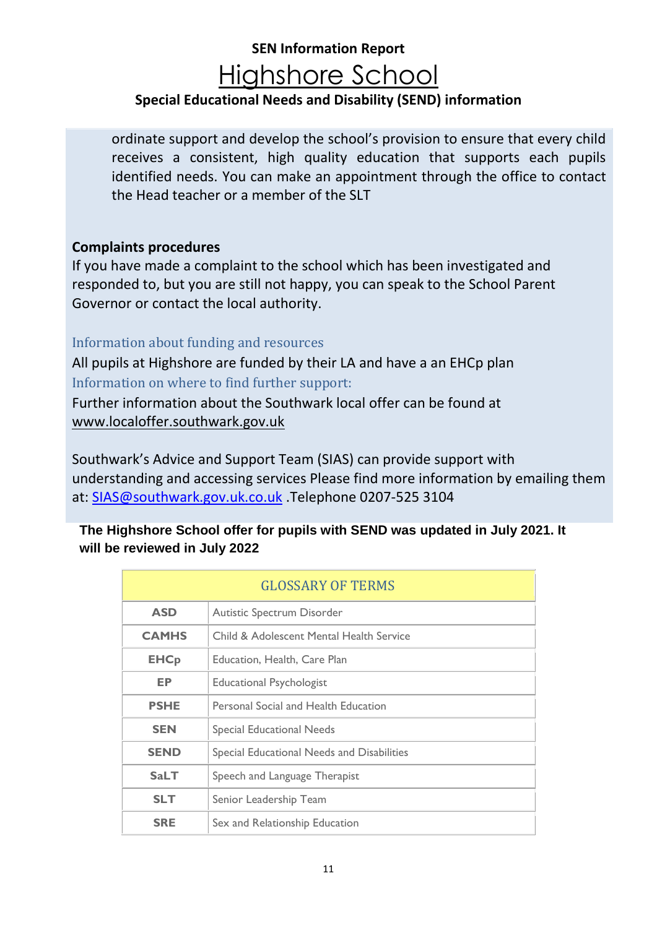### **Special Educational Needs and Disability (SEND) information**

ordinate support and develop the school's provision to ensure that every child receives a consistent, high quality education that supports each pupils identified needs. You can make an appointment through the office to contact the Head teacher or a member of the SLT

#### **Complaints procedures**

If you have made a complaint to the school which has been investigated and responded to, but you are still not happy, you can speak to the School Parent Governor or contact the local authority.

#### <span id="page-10-0"></span>Information about funding and resources

<span id="page-10-1"></span>All pupils at Highshore are funded by their LA and have a an EHCp plan Information on where to find further support:

Further information about the Southwark local offer can be found at [www.localoffer.southwark.gov.uk](http://www.localoffer.southwark.gov.uk/)

Southwark's Advice and Support Team (SIAS) can provide support with understanding and accessing services Please find more information by emailing them at: [SIAS@southwark.gov.uk.co.uk](mailto:SIAS@southwark.gov.uk.co.uk) .Telephone 0207-525 3104

#### **The Highshore School offer for pupils with SEND was updated in July 2021. It will be reviewed in July 2022**

<span id="page-10-2"></span>

| <b>GLOSSARY OF TERMS</b> |                                            |  |
|--------------------------|--------------------------------------------|--|
| <b>ASD</b>               | Autistic Spectrum Disorder                 |  |
| <b>CAMHS</b>             | Child & Adolescent Mental Health Service   |  |
| <b>EHCp</b>              | Education, Health, Care Plan               |  |
| EP                       | <b>Educational Psychologist</b>            |  |
| <b>PSHE</b>              | Personal Social and Health Education       |  |
| <b>SEN</b>               | <b>Special Educational Needs</b>           |  |
| <b>SEND</b>              | Special Educational Needs and Disabilities |  |
| <b>SaLT</b>              | Speech and Language Therapist              |  |
| <b>SLT</b>               | Senior Leadership Team                     |  |
| <b>SRE</b>               | Sex and Relationship Education             |  |